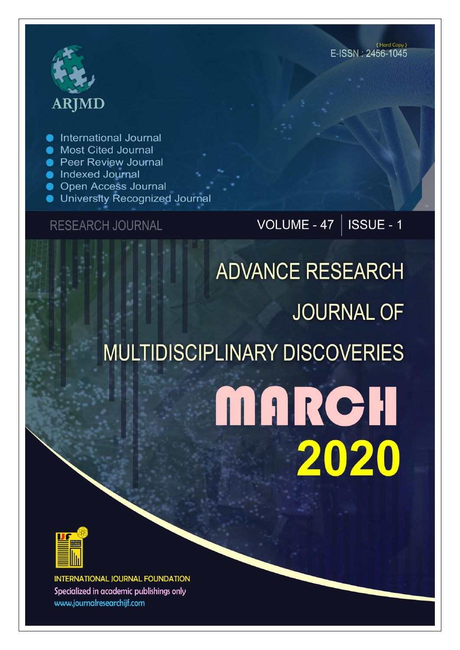# **ARJMD**

International Journal

- Most Cited Journal
- **Peer Review Journal**
- lndexed Journal
- **Open Access Journal**
- University Recognized Journal

**RESEARCH JOURNAL** 

VOLUME - 47 |  $\overline{\text{ISSUE}}$  - 1

## **ADVANCE RESEARCH JOURNAL OF MULTIDISCIPLINARY DISCOVERIES** MARCH 2020



**INTERNATIONAL JOURNAL FOUNDATION** Specialized in academic publishings only www.journalresearchijf.com

(Hard Copy) E-ISSN: 2456-1045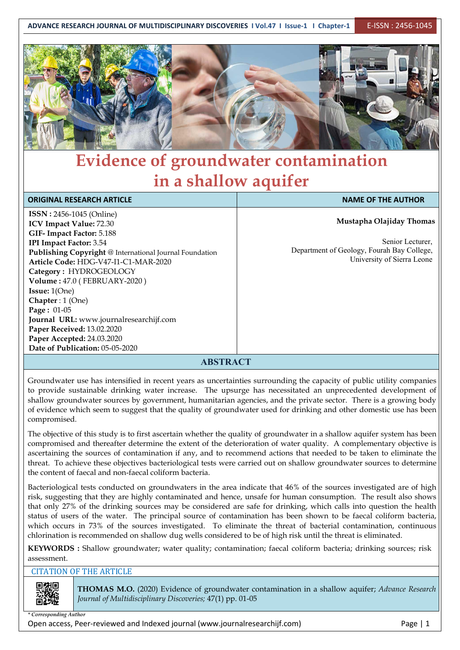

### **Evidence of groundwater contamination in a shallow aquifer**

| <b>ORIGINAL RESEARCH ARTICLE</b>                        | <b>NAME OF THE AUTHOR</b>                  |
|---------------------------------------------------------|--------------------------------------------|
| <b>ISSN: 2456-1045 (Online)</b>                         |                                            |
| <b>ICV Impact Value: 72.30</b>                          | Mustapha Olajiday Thomas                   |
| GIF-Impact Factor: 5.188                                |                                            |
| <b>IPI Impact Factor: 3.54</b>                          | Senior Lecturer.                           |
| Publishing Copyright @ International Journal Foundation | Department of Geology, Fourah Bay College, |
| Article Code: HDG-V47-I1-C1-MAR-2020                    | University of Sierra Leone                 |
| Category: HYDROGEOLOGY                                  |                                            |
| Volume: 47.0 (FEBRUARY-2020)                            |                                            |
| <b>Issue:</b> $1(One)$                                  |                                            |
| Chapter : $1$ (One)                                     |                                            |
| <b>Page:</b> $01-05$                                    |                                            |
| Journal URL: www.journalresearchijf.com                 |                                            |
| Paper Received: 13.02.2020                              |                                            |
| Paper Accepted: 24.03.2020                              |                                            |
| Date of Publication: 05-05-2020                         |                                            |

#### **ABSTRACT**

Groundwater use has intensified in recent years as uncertainties surrounding the capacity of public utility companies to provide sustainable drinking water increase. The upsurge has necessitated an unprecedented development of shallow groundwater sources by government, humanitarian agencies, and the private sector. There is a growing body of evidence which seem to suggest that the quality of groundwater used for drinking and other domestic use has been compromised.

The objective of this study is to first ascertain whether the quality of groundwater in a shallow aquifer system has been compromised and thereafter determine the extent of the deterioration of water quality. A complementary objective is ascertaining the sources of contamination if any, and to recommend actions that needed to be taken to eliminate the threat. To achieve these objectives bacteriological tests were carried out on shallow groundwater sources to determine the content of faecal and non-faecal coliform bacteria.

Bacteriological tests conducted on groundwaters in the area indicate that 46% of the sources investigated are of high risk, suggesting that they are highly contaminated and hence, unsafe for human consumption. The result also shows that only 27% of the drinking sources may be considered are safe for drinking, which calls into question the health status of users of the water. The principal source of contamination has been shown to be faecal coliform bacteria, which occurs in 73% of the sources investigated. To eliminate the threat of bacterial contamination, continuous chlorination is recommended on shallow dug wells considered to be of high risk until the threat is eliminated.

**KEYWORDS :** Shallow groundwater; water quality; contamination; faecal coliform bacteria; drinking sources; risk assessment.

#### CITATION OF THE ARTICLE

**THOMAS M.O.** (2020) Evidence of groundwater contamination in a shallow aquifer; *Advance Research Journal of Multidisciplinary Discoveries;* 47(1) pp. 01-05

*\* Corresponding Author*

Open access, Peer-reviewed and Indexed journal (www.journalresearchijf.com) Page |1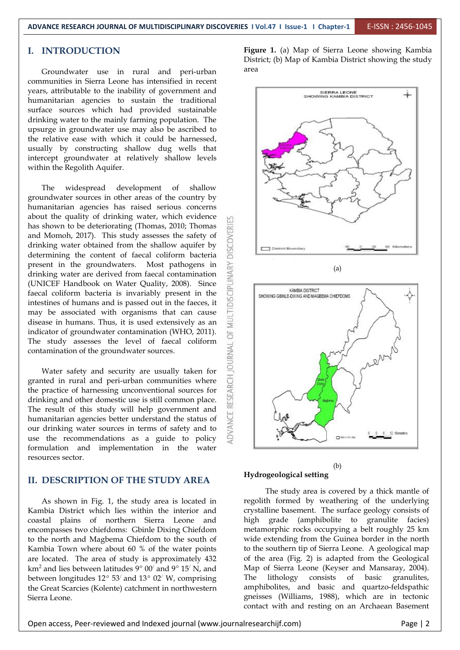#### **I. INTRODUCTION**

Groundwater use in rural and peri-urban communities in Sierra Leone has intensified in recent years, attributable to the inability of government and<br>
SHOWING KAMBIA DISTRICT humanitarian agencies to sustain the traditional surface sources which had provided sustainable drinking water to the mainly farming population. The upsurge in groundwater use may also be ascribed to the relative ease with which it could be harnessed, usually by constructing shallow dug wells that intercept groundwater at relatively shallow levels within the Regolith Aquifer.

The widespread development of shallow groundwater sources in other areas of the country by humanitarian agencies has raised serious concerns about the quality of drinking water, which evidence has shown to be deteriorating (Thomas, 2010; Thomas<br>and Momoh, 2017). This study assesses the safety of<br>drinking water obtained from the shallow aquifer by<br>determining the content of faecal coliform bacteria and Momoh, 2017). This study assesses the safety of drinking water obtained from the shallow aquifer by  $\Box$ determining the content of faecal coliform bacteria present in the groundwaters. Most pathogens in drinking water are derived from faecal contamination (UNICEF Handbook on Water Quality, 2008). Since faecal coliform bacteria is invariably present in the intestines of human drinking water are derived from faecal contamination (UNICEF Handbook on Water Quality, 2008). Since faecal coliform bacteria is invariably present in the  $\overline{Q}$  showing GBINLE-DIXING AND MAGBENA CHEFDOMS intestines of humans and is passed out in the faeces, it may be associated with organisms that can cause disease in humans. Thus, it is used extensively as an indicator of groundwater contamination (WHO, 2011). The study assesses the level of faecal coliform  $\frac{3}{5}$  contamination of the groundwater sources. contamination of the groundwater sources.

Water safety and security are usually taken for<br>
the in rural and peri-urban communities where<br>
practice of harnessing unconventional sources for<br>
aking and other domestic use is still common place. granted in rural and peri-urban communities where the practice of harnessing unconventional sources for drinking and other domestic use is still common place. The result of this study will help government and humanitarian agencies better understand the status of our drinking water sources in terms of safety and to use the recommendations as a guide to policy formulation and implementation in the water resources sector.

#### **II. DESCRIPTION OF THE STUDY AREA**

As shown in Fig. 1, the study area is located in Kambia District which lies within the interior and coastal plains of northern Sierra Leone and encompasses two chiefdoms: Gbinle Dixing Chiefdom to the north and Magbema Chiefdom to the south of Kambia Town where about  $60 %$  of the water points are located. The area of study is approximately 432 km<sup>2</sup> and lies between latitudes  $9^{\circ}$  00<sup> $\prime$ </sup> and 9 $^{\circ}$  15<sup> $\prime$ </sup> N, and Map between longitudes 12° 53′ and 13° 02′ W, comprising The lithology the Great Scarcies (Kolente) catchment in northwestern Sierra Leone.

**Figure 1.** (a) Map of Sierra Leone showing Kambia District; (b) Map of Kambia District showing the study area



#### **Hydrogeological setting**

 $\sqrt{N}$ , and  $\qquad$  Map of Sierra Leone (Keyser and Mansaray, 2004). The study area is covered by a thick mantle of regolith formed by weathering of the underlying crystalline basement. The surface geology consists of high grade (amphibolite to granulite facies) metamorphic rocks occupying a belt roughly 25 km wide extending from the Guinea border in the north to the southern tip of Sierra Leone. A geological map of the area (Fig. 2) is adapted from the Geological The lithology consists of basic granulites, amphibolites, and basic and quartzo-feldspathic gneisses (Williams, 1988), which are in tectonic contact with and resting on an Archaean Basement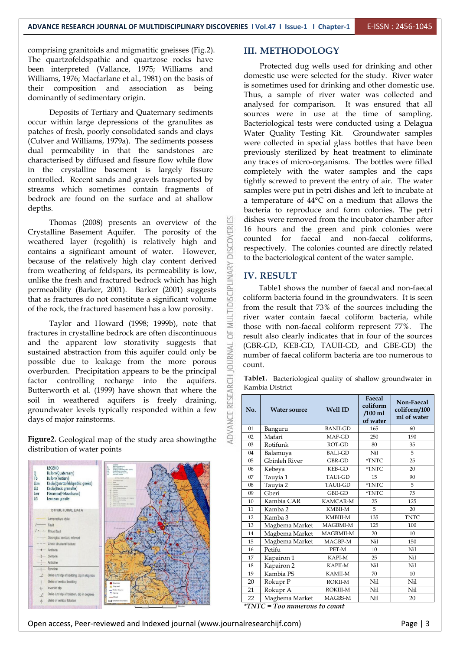comprising granitoids and migmatitic gneisses (Fig.2). The quartzofeldspathic and quartzose rocks have been interpreted (Vallance, 1975; Williams and Williams, 1976; Macfarlane et al., 1981) on the basis of their composition and association as being dominantly of sedimentary origin.

Deposits of Tertiary and Quaternary sediments occur within large depressions of the granulites as patches of fresh, poorly consolidated sands and clays (Culver and Williams, 1979a). The sediments possess dual permeability in that the sandstones are characterised by diffused and fissure flow while flow in the crystalline basement is largely fissure controlled. Recent sands and gravels transported by streams which sometimes contain fragments of bedrock are found on the surface and at shallow

depths.<br>Thomas (2008) presents an overview of the<br>Crystalline Basement Aquifer. The porosity of the<br>weathered layer (regolith) is relatively high and<br>contains a significant amount of water. However, Crystalline Basement Aquifer. The porosity of the weathered layer (regolith) is relatively high and contains a significant amount of water. However, because of the relatively high clay content derived from weathering of feldspars, its permeability is low, unlike the fresh and fractured bedrock which has high permeability (Barker, 2001). Barker (2001) suggests permeability (Barker, 2001). Barker (2001) suggests that as fractures do not constitute a significant volume<br>of the rock, the fractured basement has a low porosity. of the rock, the fractured basement has a low porosity.

Taylor and Howard (1998; 1999b), note that fractures in crystalline bedrock are often discontinuous and the apparent low storativity suggests that sustained abstraction from this aquifer could only be possible due to leakage from the more porous overburden. Precipitation appears to be the principal<br>factor controlling recharge into the aquifers.<br>Butterworth et al. (1999) have shown that where the<br>soil in weathered aquifers is freely draining, factor controlling recharge into the aquifers. Butterworth et al. (1999) have shown that where the soil in weathered aquifers is freely draining, groundwater levels typically responded within a few days of major rainstorms. days of major rainstorms.

**Figure2.** Geological map of the study area showingthe distribution of water points



#### **III. METHODOLOGY**

Protected dug wells used for drinking and other domestic use were selected for the study. River water is sometimes used for drinking and other domestic use. Thus, a sample of river water was collected and analysed for comparison. It was ensured that all sources were in use at the time of sampling. Bacteriological tests were conducted using a Delagua Water Quality Testing Kit. Groundwater samples were collected in special glass bottles that have been previously sterilized by heat treatment to eliminate any traces of micro-organisms. The bottles were filled completely with the water samples and the caps tightly screwed to prevent the entry of air. The water samples were put in petri dishes and left to incubate at a temperature of 44°C on a medium that allows the bacteria to reproduce and form colonies. The petri dishes were removed from the incubator chamber after 16 hours and the green and pink colonies were counted for faecal and non-faecal coliforms, respectively. The colonies counted are directly related to the bacteriological content of the water sample.

#### **IV. RESULT**

Table1 shows the number of faecal and non-faecal coliform bacteria found in the groundwaters. It is seen from the result that 73% of the sources including the river water contain faecal coliform bacteria, while those with non-faecal coliform represent 77%. The result also clearly indicates that in four of the sources (GBR-GD, KEB-GD, TAUII-GD, and GBE-GD) the number of faecal coliform bacteria are too numerous to count.

**Table1.** Bacteriological quality of shallow groundwater in Kambia District

| No. | <b>Water source</b> | <b>Well ID</b>  | Faecal<br>coliform<br>$/100$ ml<br>of water | Non-Faecal<br>coliform/100<br>ml of water |
|-----|---------------------|-----------------|---------------------------------------------|-------------------------------------------|
| 01  | Banguru             | <b>BANII-GD</b> | 165                                         | 60                                        |
| 02  | Mafari              | MAF-GD          | 250                                         | 190                                       |
| 03  | Rotifunk            | ROT-GD          | 80                                          | 35                                        |
| 04  | Balamuya            | <b>BALI-GD</b>  | Nil                                         | 5                                         |
| 05  | Gbinleh River       | GBR-GD          | <i><b>*TNTC</b></i>                         | 25                                        |
| 06  | Kebeya              | KEB-GD          | <i><b>*TNTC</b></i>                         | 20                                        |
| 07  | Tauyia 1            | <b>TAUI-GD</b>  | 15                                          | 90                                        |
| 08  | Tauyia 2            | <b>TAUII-GD</b> | <i><b>*TNTC</b></i>                         | 5                                         |
| 09  | Gberi               | GBE-GD          | *TNTC                                       | 75                                        |
| 10  | Kambia CAR          | KAMCAR-M        | 25                                          | 125                                       |
| 11  | Kamba 2             | KMBII-M         | 5                                           | 20                                        |
| 12  | Kamba 3             | KMBIII-M        | 135                                         | <b>TNTC</b>                               |
| 13  | Magbema Market      | MAGBMI-M        | 125                                         | 100                                       |
| 14  | Magbema Market      | MAGBMII-M       | 20                                          | 10                                        |
| 15  | Magbema Market      | MAGBP-M         | Nil                                         | 150                                       |
| 16  | Petifu              | PET-M           | 10                                          | Nil                                       |
| 17  | Kapairon 1          | KAPI-M          | 25                                          | Nil                                       |
| 18  | Kapairon 2          | <b>KAPII-M</b>  | Nil                                         | Nil                                       |
| 19  | Kambia PS           | KAMII-M         | 70                                          | 10                                        |
| 20  | Rokupr P            | ROKII-M         | Nil                                         | Nil                                       |
| 21  | Rokupr A            | <b>ROKIII-M</b> | Nil                                         | Nil                                       |
| 22  | Magbema Market      | MAGBS-M         | Nil                                         | 20                                        |

*\*TNTC = Too numerous to count*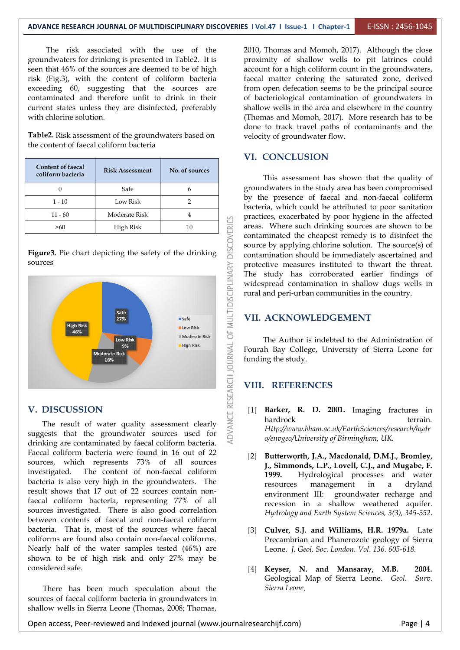The risk associated with the use of the groundwaters for drinking is presented in Table2. It is seen that 46% of the sources are deemed to be of high risk (Fig.3), with the content of coliform bacteria exceeding 60, suggesting that the sources are contaminated and therefore unfit to drink in their current states unless they are disinfected, preferably with chlorine solution.

**Table2.** Risk assessment of the groundwaters based on the content of faecal coliform bacteria

| <b>Content of faecal</b><br>coliform bacteria           | <b>Risk Assessment</b> | No. of sources |                |
|---------------------------------------------------------|------------------------|----------------|----------------|
| 0                                                       | Safe                   | 6              | groui          |
| $1 - 10$                                                | Low Risk               | 2              | by tl<br>bacte |
| $11 - 60$                                               | Moderate Risk          | 4              | pract          |
| >60                                                     | High Risk              | 10             | areas          |
|                                                         |                        |                | conta          |
|                                                         | sourc                  |                |                |
| Figure3. Pie chart depicting the safety of the drinking | conta                  |                |                |

sources



The result of water quality assessment clearly suggests that the groundwater sources used for drinking are contaminated by faecal coliform bacteria. Faecal coliform bacteria were found in 16 out of 22 sources, which represents 73% of all sources investigated. The content of non-faecal coliform bacteria is also very high in the groundwaters. The result shows that 17 out of 22 sources contain nonfaecal coliform bacteria, representing 77% of all sources investigated. There is also good correlation between contents of faecal and non-faecal coliform bacteria. That is, most of the sources where faecal coliforms are found also contain non-faecal coliforms. Nearly half of the water samples tested (46%) are shown to be of high risk and only 27% may be considered safe.

There has been much speculation about the sources of faecal coliform bacteria in groundwaters in shallow wells in Sierra Leone (Thomas, 2008; Thomas,

2010, Thomas and Momoh, 2017). Although the close proximity of shallow wells to pit latrines could account for a high coliform count in the groundwaters, faecal matter entering the saturated zone, derived from open defecation seems to be the principal source of bacteriological contamination of groundwaters in shallow wells in the area and elsewhere in the country (Thomas and Momoh, 2017). More research has to be done to track travel paths of contaminants and the velocity of groundwater flow.

#### **VI. CONCLUSION**

This assessment has shown that the quality of groundwaters in the study area has been compromised by the presence of faecal and non-faecal coliform bacteria, which could be attributed to poor sanitation practices, exacerbated by poor hygiene in the affected areas. Where such drinking sources are shown to be contaminated the cheapest remedy is to disinfect the source by applying chlorine solution. The source(s) of contamination should be immediately ascertained and protective measures instituted to thwart the threat. The study has corroborated earlier findings of widespread contamination in shallow dugs wells in rural and peri-urban communities in the country.

#### **VII. ACKNOWLEDGEMENT**

The Author is indebted to the Administration of Fourah Bay College, University of Sierra Leone for funding the study.

#### **VIII. REFERENCES**

- [1] **Barker, R. D. 2001.** Imaging fractures in hardrock terrain *[Http://www.bham.ac.uk/EarthSciences/research/hydr](http://www.bham.ac.uk/EarthSciences/research/hydro/envgeo/University) o/envgeo/University of Birmingham, UK.*
- [2] **Butterworth, J.A., Macdonald, D.M.J., Bromley, J., Simmonds, L.P., Lovell, C.J., and Mugabe, F. 1999.** Hydrological processes and water management in a dryland environment III: groundwater recharge and recession in a shallow weathered aquifer. *Hydrology and Earth System Sciences, 3(3), 345-352.*
- [3] **Culver, S.J. and Williams, H.R. 1979a.** Late Precambrian and Phanerozoic geology of Sierra Leone. *J. Geol. Soc. London. Vol. 136. 605-618.*
- [4] **Keyser, N. and Mansaray, M.B. 2004.** Geological Map of Sierra Leone. *Geol. Surv. Sierra Leone*.